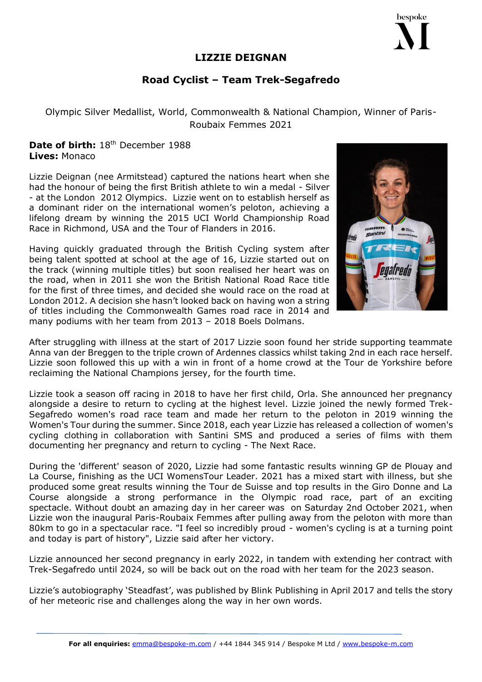## **LIZZIE DEIGNAN**

## **Road Cyclist – Team Trek-Segafredo**

Olympic Silver Medallist, World, Commonwealth & National Champion, Winner of Paris-Roubaix Femmes 2021

## **Date of birth:** 18th December 1988 **Lives:** Monaco

Lizzie Deignan (nee Armitstead) captured the nations heart when she had the honour of being the first British athlete to win a medal - Silver - at the London 2012 Olympics. Lizzie went on to establish herself as a dominant rider on the international women's peloton, achieving a lifelong dream by winning the 2015 UCI World Championship Road Race in Richmond, USA and the Tour of Flanders in 2016.

Having quickly graduated through the British Cycling system after being talent spotted at school at the age of 16, Lizzie started out on the track (winning multiple titles) but soon realised her heart was on the road, when in 2011 she won the British National Road Race title for the first of three times, and decided she would race on the road at London 2012. A decision she hasn't looked back on having won a string of titles including the Commonwealth Games road race in 2014 and many podiums with her team from 2013 – 2018 Boels Dolmans.

After struggling with illness at the start of 2017 Lizzie soon found her stride supporting teammate Anna van der Breggen to the triple crown of Ardennes classics whilst taking 2nd in each race herself. Lizzie soon followed this up with a win in front of a home crowd at the Tour de Yorkshire before reclaiming the National Champions jersey, for the fourth time.

Lizzie took a season off racing in 2018 to have her first child, Orla. She announced her pregnancy alongside a desire to return to cycling at the highest level. Lizzie joined the newly formed Trek-Segafredo women's road race team and made her return to the peloton in 2019 winning the Women's Tour during the summer. Since 2018, each year Lizzie has released a collection of women's cycling clothing in collaboration with Santini SMS and produced a series of films with them documenting her pregnancy and return to cycling - The Next Race.

During the 'different' season of 2020, Lizzie had some fantastic results winning GP de Plouay and La Course, finishing as the UCI WomensTour Leader. 2021 has a mixed start with illness, but she produced some great results winning the Tour de Suisse and top results in the Giro Donne and La Course alongside a strong performance in the Olympic road race, part of an exciting spectacle. Without doubt an amazing day in her career was on Saturday 2nd October 2021, when Lizzie won the inaugural Paris-Roubaix Femmes after pulling away from the peloton with more than 80km to go in a spectacular race. "I feel so incredibly proud - women's cycling is at a turning point and today is part of history", Lizzie said after her victory.

Lizzie announced her second pregnancy in early 2022, in tandem with extending her contract with Trek-Segafredo until 2024, so will be back out on the road with her team for the 2023 season.

Lizzie's autobiography 'Steadfast', was published by Blink Publishing in April 2017 and tells the story of her meteoric rise and challenges along the way in her own words.